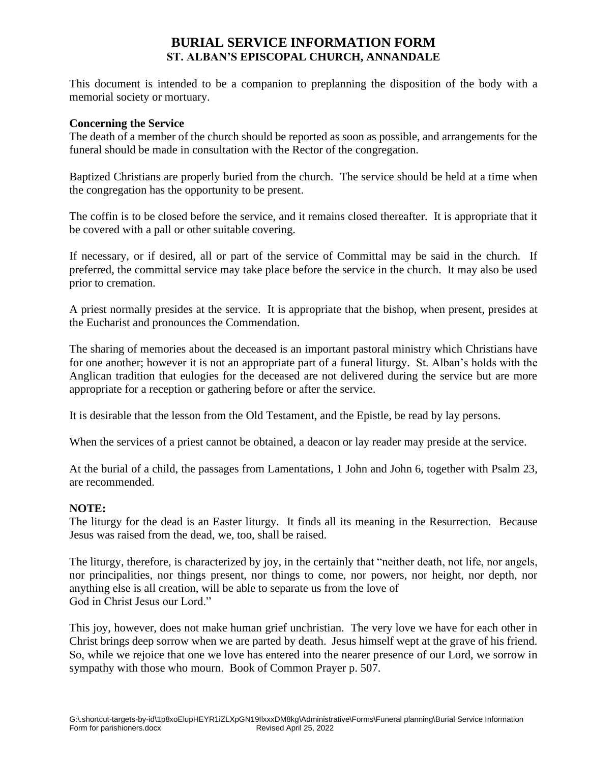# **BURIAL SERVICE INFORMATION FORM ST. ALBAN'S EPISCOPAL CHURCH, ANNANDALE**

This document is intended to be a companion to preplanning the disposition of the body with a memorial society or mortuary.

### **Concerning the Service**

The death of a member of the church should be reported as soon as possible, and arrangements for the funeral should be made in consultation with the Rector of the congregation.

Baptized Christians are properly buried from the church. The service should be held at a time when the congregation has the opportunity to be present.

The coffin is to be closed before the service, and it remains closed thereafter. It is appropriate that it be covered with a pall or other suitable covering.

If necessary, or if desired, all or part of the service of Committal may be said in the church. If preferred, the committal service may take place before the service in the church. It may also be used prior to cremation.

A priest normally presides at the service. It is appropriate that the bishop, when present, presides at the Eucharist and pronounces the Commendation.

The sharing of memories about the deceased is an important pastoral ministry which Christians have for one another; however it is not an appropriate part of a funeral liturgy. St. Alban's holds with the Anglican tradition that eulogies for the deceased are not delivered during the service but are more appropriate for a reception or gathering before or after the service.

It is desirable that the lesson from the Old Testament, and the Epistle, be read by lay persons.

When the services of a priest cannot be obtained, a deacon or lay reader may preside at the service.

At the burial of a child, the passages from Lamentations, 1 John and John 6, together with Psalm 23, are recommended.

### **NOTE:**

The liturgy for the dead is an Easter liturgy. It finds all its meaning in the Resurrection. Because Jesus was raised from the dead, we, too, shall be raised.

The liturgy, therefore, is characterized by joy, in the certainly that "neither death, not life, nor angels, nor principalities, nor things present, nor things to come, nor powers, nor height, nor depth, nor anything else is all creation, will be able to separate us from the love of God in Christ Jesus our Lord."

This joy, however, does not make human grief unchristian. The very love we have for each other in Christ brings deep sorrow when we are parted by death. Jesus himself wept at the grave of his friend. So, while we rejoice that one we love has entered into the nearer presence of our Lord, we sorrow in sympathy with those who mourn. Book of Common Prayer p. 507.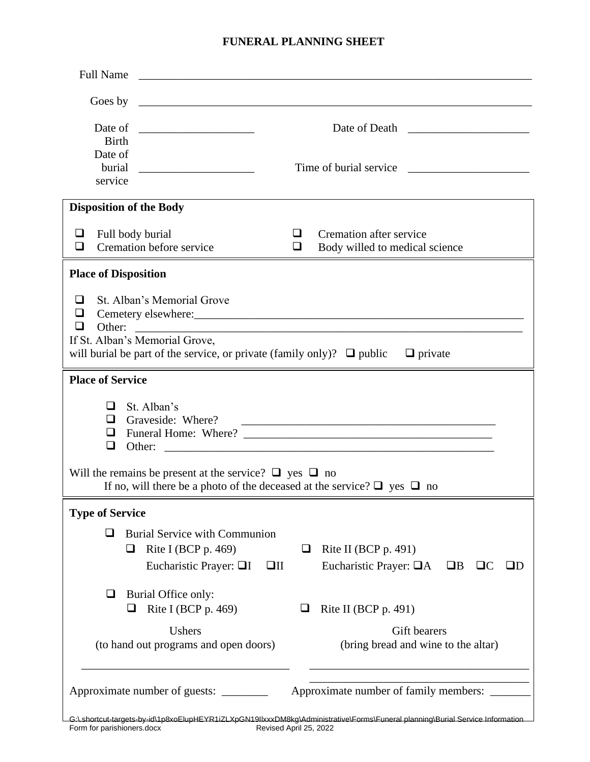# **FUNERAL PLANNING SHEET**

| <b>Full Name</b>                                                                                                                                      |                                                                                                                                                                                                                               |
|-------------------------------------------------------------------------------------------------------------------------------------------------------|-------------------------------------------------------------------------------------------------------------------------------------------------------------------------------------------------------------------------------|
| Goes by                                                                                                                                               |                                                                                                                                                                                                                               |
| Date of                                                                                                                                               |                                                                                                                                                                                                                               |
| <b>Birth</b><br>Date of                                                                                                                               |                                                                                                                                                                                                                               |
| burial                                                                                                                                                | Time of burial service                                                                                                                                                                                                        |
| service                                                                                                                                               |                                                                                                                                                                                                                               |
| <b>Disposition of the Body</b>                                                                                                                        |                                                                                                                                                                                                                               |
| ⊔<br>Full body burial                                                                                                                                 | Cremation after service<br>ப                                                                                                                                                                                                  |
| Cremation before service<br>$\Box$                                                                                                                    | Body willed to medical science<br>⊔                                                                                                                                                                                           |
| <b>Place of Disposition</b>                                                                                                                           |                                                                                                                                                                                                                               |
| ◻<br>St. Alban's Memorial Grove                                                                                                                       |                                                                                                                                                                                                                               |
| ⊔<br>ப<br>Other:                                                                                                                                      | Cemetery elsewhere: Note that the contract of the contract of the contract of the contract of the contract of the contract of the contract of the contract of the contract of the contract of the contract of the contract of |
| If St. Alban's Memorial Grove,                                                                                                                        |                                                                                                                                                                                                                               |
| will burial be part of the service, or private (family only)? $\Box$ public                                                                           | $\Box$ private                                                                                                                                                                                                                |
| <b>Place of Service</b>                                                                                                                               |                                                                                                                                                                                                                               |
| ◻<br>St. Alban's<br>Graveside: Where?<br>ப<br>□<br>❏                                                                                                  |                                                                                                                                                                                                                               |
| Will the remains be present at the service? $\Box$ yes $\Box$ no<br>If no, will there be a photo of the deceased at the service? $\Box$ yes $\Box$ no |                                                                                                                                                                                                                               |
| <b>Type of Service</b>                                                                                                                                |                                                                                                                                                                                                                               |
| <b>Burial Service with Communion</b>                                                                                                                  |                                                                                                                                                                                                                               |
| Rite I (BCP p. $469$ )<br>⊔                                                                                                                           | Rite II (BCP $p. 491$ )<br>⊔                                                                                                                                                                                                  |
| Eucharistic Prayer: $\Box I$<br>$\Box$                                                                                                                | Eucharistic Prayer: $\Box A$ $\Box B$ $\Box C$<br>- UD                                                                                                                                                                        |
| Burial Office only:<br>⊔                                                                                                                              |                                                                                                                                                                                                                               |
| Rite I (BCP p. $469$ )                                                                                                                                | Rite II (BCP $p. 491$ )                                                                                                                                                                                                       |
| Ushers                                                                                                                                                | Gift bearers                                                                                                                                                                                                                  |
| (to hand out programs and open doors)                                                                                                                 | (bring bread and wine to the altar)                                                                                                                                                                                           |
| Approximate number of guests: __________                                                                                                              | Approximate number of family members:                                                                                                                                                                                         |
| Form for parishioners.docx                                                                                                                            | G:\shortcut-targets-by-id\1p8xoElupHEYR1iZLXpGN19llxxxDM8kg\Administrative\Forms\Funeral-planning\Burial-Service-Information<br>Revised April 25, 2022                                                                        |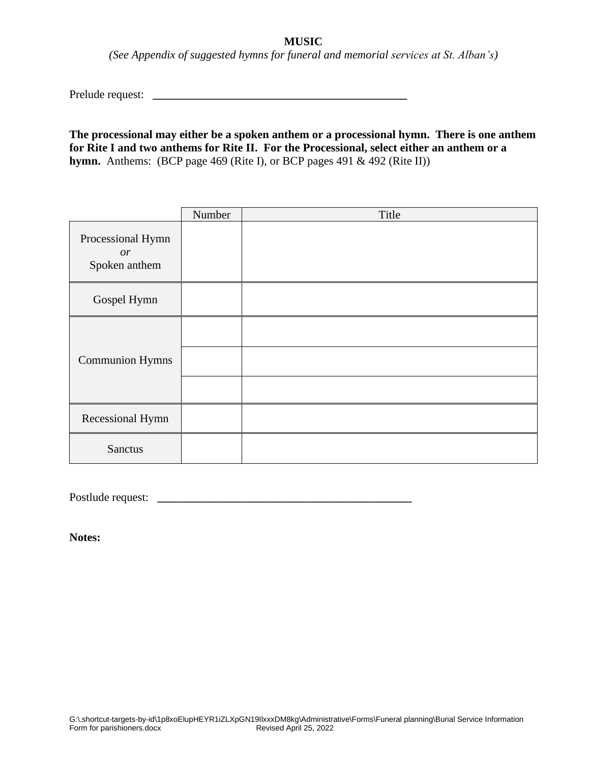#### **MUSIC**

*(See Appendix of suggested hymns for funeral and memorial services at St. Alban's)*

Prelude request: **\_\_\_\_\_\_\_\_\_\_\_\_\_\_\_\_\_\_\_\_\_\_\_\_\_\_\_\_\_\_\_\_\_\_\_\_\_\_\_\_\_\_\_\_**

**The processional may either be a spoken anthem or a processional hymn. There is one anthem for Rite I and two anthems for Rite II. For the Processional, select either an anthem or a hymn.** Anthems: (BCP page 469 (Rite I), or BCP pages 491 & 492 (Rite II))

|                                          | Number | Title |
|------------------------------------------|--------|-------|
| Processional Hymn<br>or<br>Spoken anthem |        |       |
| Gospel Hymn                              |        |       |
| <b>Communion Hymns</b>                   |        |       |
| Recessional Hymn                         |        |       |
| Sanctus                                  |        |       |

Postlude request: **\_\_\_\_\_\_\_\_\_\_\_\_\_\_\_\_\_\_\_\_\_\_\_\_\_\_\_\_\_\_\_\_\_\_\_\_\_\_\_\_\_\_\_\_**

**Notes:**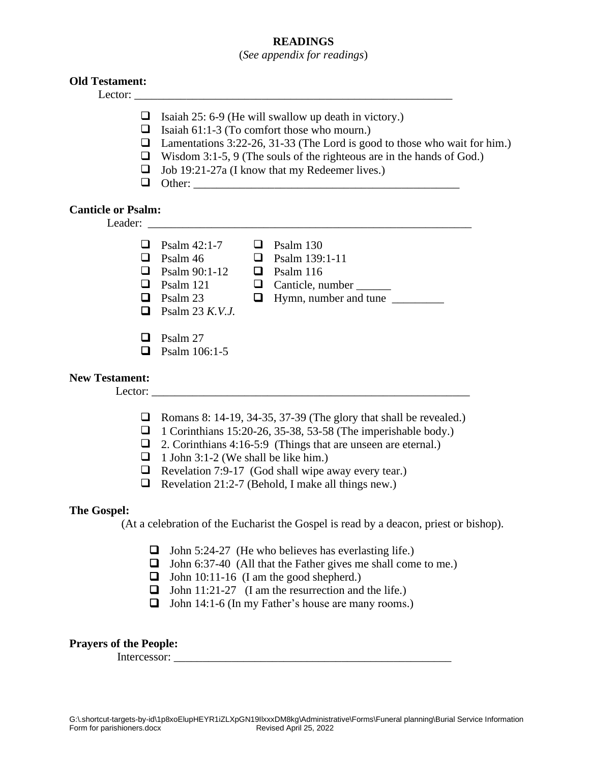#### **READINGS**

(*See appendix for readings*)

# **Old Testament:**

Lector:

- $\Box$  Isaiah 25: 6-9 (He will swallow up death in victory.)
- ❑ Isaiah 61:1-3 (To comfort those who mourn.)
- $\Box$  Lamentations 3:22-26, 31-33 (The Lord is good to those who wait for him.)
- ❑ Wisdom 3:1-5, 9 (The souls of the righteous are in the hands of God.)
- $\Box$  Job 19:21-27a (I know that my Redeemer lives.)
- ❑ Other: \_\_\_\_\_\_\_\_\_\_\_\_\_\_\_\_\_\_\_\_\_\_\_\_\_\_\_\_\_\_\_\_\_\_\_\_\_\_\_\_\_\_\_\_\_\_

### **Canticle or Psalm:**

 $Leader:$  $\Box$  Psalm 42:1-7  $\Box$  Psalm 130  $\Box$  Psalm 46  $\Box$  Psalm 139:1-11  $\Box$  Psalm 90:1-12  $\Box$  Psalm 116  $\Box$  Psalm 121  $\Box$  Canticle, number \_\_\_\_\_\_\_\_  $\Box$  Psalm 23  $\Box$  Hymn, number and tune  $\Box$ ❑ Psalm 23 *K.V.J.* ❑ Psalm 27 ❑ Psalm 106:1-5 **New Testament:** Lector: \_\_\_\_\_\_\_\_\_\_\_\_\_\_\_\_\_\_\_\_\_\_\_\_\_\_\_\_\_\_\_\_\_\_\_\_\_\_\_\_\_\_\_\_\_\_\_\_\_\_\_\_\_\_\_  $\Box$  Romans 8: 14-19, 34-35, 37-39 (The glory that shall be revealed.)  $\Box$  1 Corinthians 15:20-26, 35-38, 53-58 (The imperishable body.) ❑ 2. Corinthians 4:16-5:9 (Things that are unseen are eternal.)

- $\Box$  1 John 3:1-2 (We shall be like him.)
- $\Box$  Revelation 7:9-17 (God shall wipe away every tear.)
- $\Box$  Revelation 21:2-7 (Behold, I make all things new.)

#### **The Gospel:**

(At a celebration of the Eucharist the Gospel is read by a deacon, priest or bishop).

- $\Box$  John 5:24-27 (He who believes has everlasting life.)
- ❑ John 6:37-40 (All that the Father gives me shall come to me.)
- $\Box$  John 10:11-16 (I am the good shepherd.)
- $\Box$  John 11:21-27 (I am the resurrection and the life.)
- ❑ John 14:1-6 (In my Father's house are many rooms.)

#### **Prayers of the People:**

Intercessor: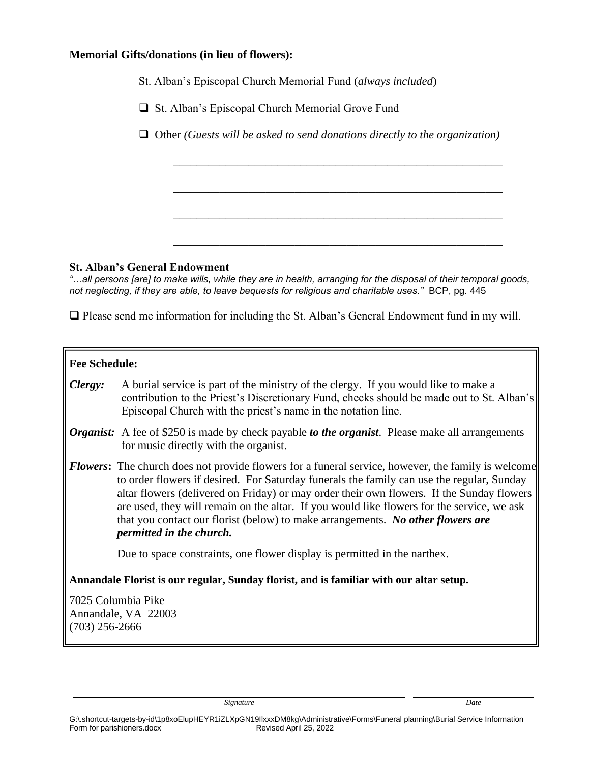#### **Memorial Gifts/donations (in lieu of flowers):**

- St. Alban's Episcopal Church Memorial Fund (*always included*)
- ❑ St. Alban's Episcopal Church Memorial Grove Fund
- ❑ Other *(Guests will be asked to send donations directly to the organization)*

\_\_\_\_\_\_\_\_\_\_\_\_\_\_\_\_\_\_\_\_\_\_\_\_\_\_\_\_\_\_\_\_\_\_\_\_\_\_\_\_\_\_\_\_\_\_\_\_\_\_\_\_\_\_\_\_\_

\_\_\_\_\_\_\_\_\_\_\_\_\_\_\_\_\_\_\_\_\_\_\_\_\_\_\_\_\_\_\_\_\_\_\_\_\_\_\_\_\_\_\_\_\_\_\_\_\_\_\_\_\_\_\_\_\_

\_\_\_\_\_\_\_\_\_\_\_\_\_\_\_\_\_\_\_\_\_\_\_\_\_\_\_\_\_\_\_\_\_\_\_\_\_\_\_\_\_\_\_\_\_\_\_\_\_\_\_\_\_\_\_\_\_

\_\_\_\_\_\_\_\_\_\_\_\_\_\_\_\_\_\_\_\_\_\_\_\_\_\_\_\_\_\_\_\_\_\_\_\_\_\_\_\_\_\_\_\_\_\_\_\_\_\_\_\_\_\_\_\_\_

### **St. Alban's General Endowment**

*"…all persons [are] to make wills, while they are in health, arranging for the disposal of their temporal goods, not neglecting, if they are able, to leave bequests for religious and charitable uses."* BCP, pg. 445

❑ Please send me information for including the St. Alban's General Endowment fund in my will.

### **Fee Schedule:**

*Clergy:* A burial service is part of the ministry of the clergy. If you would like to make a contribution to the Priest's Discretionary Fund, checks should be made out to St. Alban's Episcopal Church with the priest's name in the notation line.

- *Organist:* A fee of \$250 is made by check payable *to the organist*. Please make all arrangements for music directly with the organist.
- *Flowers***:** The church does not provide flowers for a funeral service, however, the family is welcome to order flowers if desired. For Saturday funerals the family can use the regular, Sunday altar flowers (delivered on Friday) or may order their own flowers. If the Sunday flowers are used, they will remain on the altar. If you would like flowers for the service, we ask that you contact our florist (below) to make arrangements. *No other flowers are permitted in the church.*

Due to space constraints, one flower display is permitted in the narthex.

# **Annandale Florist is our regular, Sunday florist, and is familiar with our altar setup.**

7025 Columbia Pike Annandale, VA 22003 (703) 256-2666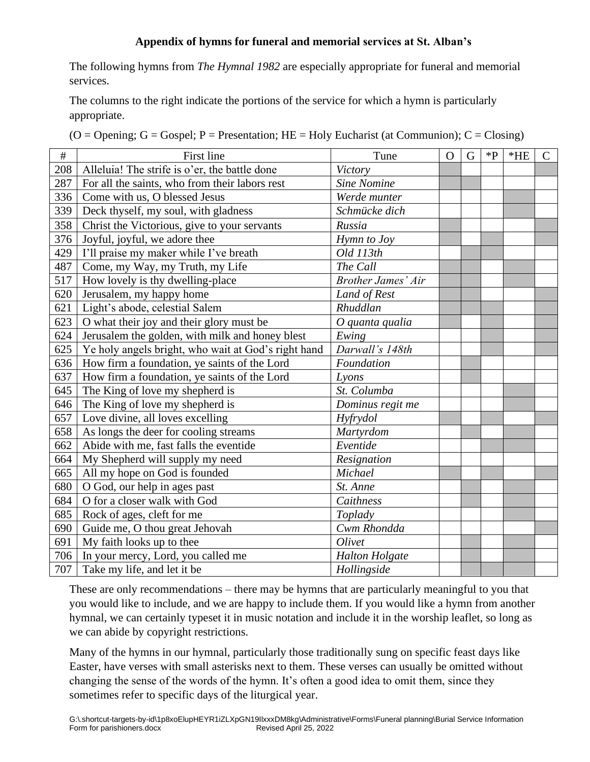# **Appendix of hymns for funeral and memorial services at St. Alban's**

The following hymns from *The Hymnal 1982* are especially appropriate for funeral and memorial services.

The columns to the right indicate the portions of the service for which a hymn is particularly appropriate.

| $\#$ | First line                                          | Tune                      | $\Omega$ | G | $*P$ | $*$ HE |  |
|------|-----------------------------------------------------|---------------------------|----------|---|------|--------|--|
| 208  | Alleluia! The strife is o'er, the battle done       | Victory                   |          |   |      |        |  |
| 287  | For all the saints, who from their labors rest      | <b>Sine Nomine</b>        |          |   |      |        |  |
| 336  | Come with us, O blessed Jesus                       | Werde munter              |          |   |      |        |  |
| 339  | Deck thyself, my soul, with gladness                | Schmücke dich             |          |   |      |        |  |
| 358  | Christ the Victorious, give to your servants        | Russia                    |          |   |      |        |  |
| 376  | Joyful, joyful, we adore thee                       | Hymn to Joy               |          |   |      |        |  |
| 429  | I'll praise my maker while I've breath              | Old 113th                 |          |   |      |        |  |
| 487  | Come, my Way, my Truth, my Life                     | The Call                  |          |   |      |        |  |
| 517  | How lovely is thy dwelling-place                    | <b>Brother James' Air</b> |          |   |      |        |  |
| 620  | Jerusalem, my happy home                            | Land of Rest              |          |   |      |        |  |
| 621  | Light's abode, celestial Salem                      | Rhuddlan                  |          |   |      |        |  |
| 623  | O what their joy and their glory must be            | O quanta qualia           |          |   |      |        |  |
| 624  | Jerusalem the golden, with milk and honey blest     | Ewing                     |          |   |      |        |  |
| 625  | Ye holy angels bright, who wait at God's right hand | Darwall's 148th           |          |   |      |        |  |
| 636  | How firm a foundation, ye saints of the Lord        | Foundation                |          |   |      |        |  |
| 637  | How firm a foundation, ye saints of the Lord        | Lyons                     |          |   |      |        |  |
| 645  | The King of love my shepherd is                     | St. Columba               |          |   |      |        |  |
| 646  | The King of love my shepherd is                     | Dominus regit me          |          |   |      |        |  |
| 657  | Love divine, all loves excelling                    | Hyfrydol                  |          |   |      |        |  |
| 658  | As longs the deer for cooling streams               | Martyrdom                 |          |   |      |        |  |
| 662  | Abide with me, fast falls the eventide              | Eventide                  |          |   |      |        |  |
| 664  | My Shepherd will supply my need                     | Resignation               |          |   |      |        |  |
| 665  | All my hope on God is founded                       | Michael                   |          |   |      |        |  |
| 680  | O God, our help in ages past                        | St. Anne                  |          |   |      |        |  |
| 684  | O for a closer walk with God                        | Caithness                 |          |   |      |        |  |
| 685  | Rock of ages, cleft for me                          | Toplady                   |          |   |      |        |  |
| 690  | Guide me, O thou great Jehovah                      | Cwm Rhondda               |          |   |      |        |  |
| 691  | My faith looks up to thee                           | Olivet                    |          |   |      |        |  |
| 706  | In your mercy, Lord, you called me                  | <b>Halton Holgate</b>     |          |   |      |        |  |
| 707  | Take my life, and let it be                         | Hollingside               |          |   |      |        |  |

These are only recommendations – there may be hymns that are particularly meaningful to you that you would like to include, and we are happy to include them. If you would like a hymn from another hymnal, we can certainly typeset it in music notation and include it in the worship leaflet, so long as we can abide by copyright restrictions.

Many of the hymns in our hymnal, particularly those traditionally sung on specific feast days like Easter, have verses with small asterisks next to them. These verses can usually be omitted without changing the sense of the words of the hymn. It's often a good idea to omit them, since they sometimes refer to specific days of the liturgical year.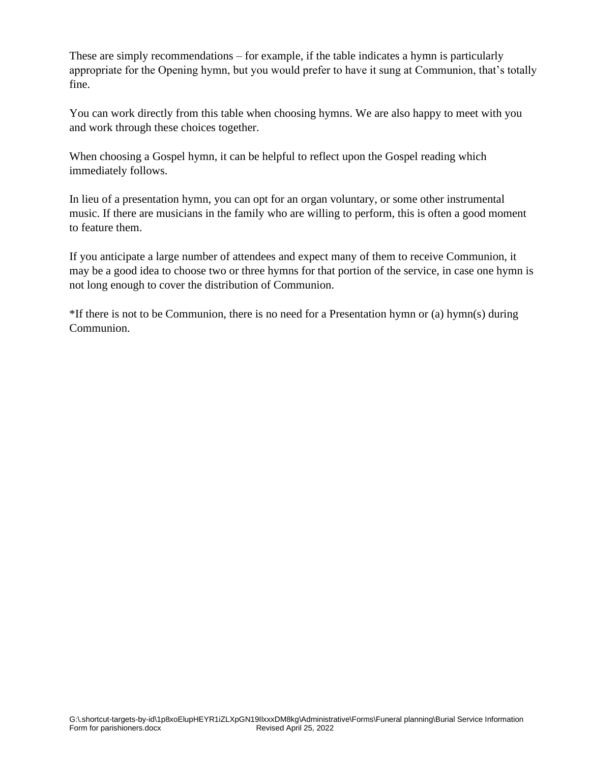These are simply recommendations – for example, if the table indicates a hymn is particularly appropriate for the Opening hymn, but you would prefer to have it sung at Communion, that's totally fine.

You can work directly from this table when choosing hymns. We are also happy to meet with you and work through these choices together.

When choosing a Gospel hymn, it can be helpful to reflect upon the Gospel reading which immediately follows.

In lieu of a presentation hymn, you can opt for an organ voluntary, or some other instrumental music. If there are musicians in the family who are willing to perform, this is often a good moment to feature them.

If you anticipate a large number of attendees and expect many of them to receive Communion, it may be a good idea to choose two or three hymns for that portion of the service, in case one hymn is not long enough to cover the distribution of Communion.

\*If there is not to be Communion, there is no need for a Presentation hymn or (a) hymn(s) during Communion.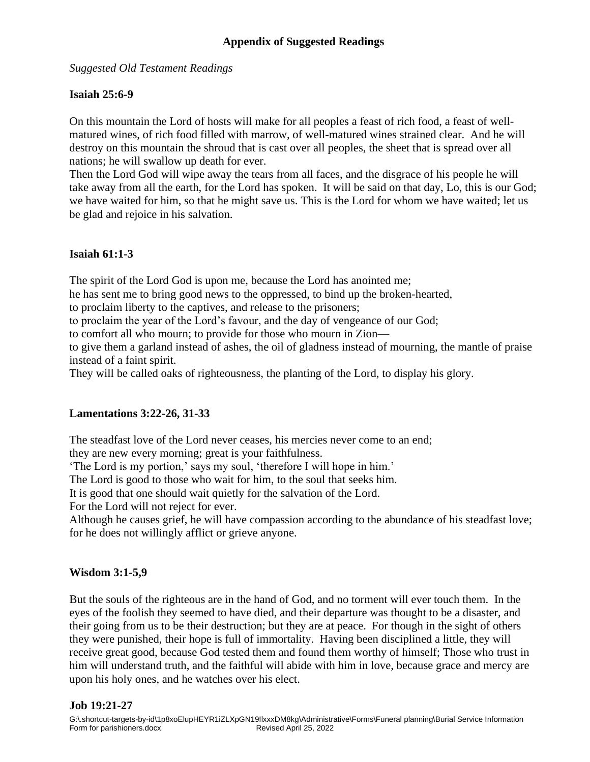*Suggested Old Testament Readings*

# **Isaiah 25:6-9**

On this mountain the Lord of hosts will make for all peoples a feast of rich food, a feast of wellmatured wines, of rich food filled with marrow, of well-matured wines strained clear. And he will destroy on this mountain the shroud that is cast over all peoples, the sheet that is spread over all nations; he will swallow up death for ever.

Then the Lord God will wipe away the tears from all faces, and the disgrace of his people he will take away from all the earth, for the Lord has spoken. It will be said on that day, Lo, this is our God; we have waited for him, so that he might save us. This is the Lord for whom we have waited; let us be glad and rejoice in his salvation.

# **Isaiah 61:1-3**

The spirit of the Lord God is upon me, because the Lord has anointed me;

he has sent me to bring good news to the oppressed, to bind up the broken-hearted,

to proclaim liberty to the captives, and release to the prisoners;

to proclaim the year of the Lord's favour, and the day of vengeance of our God;

to comfort all who mourn; to provide for those who mourn in Zion—

to give them a garland instead of ashes, the oil of gladness instead of mourning, the mantle of praise instead of a faint spirit.

They will be called oaks of righteousness, the planting of the Lord, to display his glory.

# **Lamentations 3:22-26, 31-33**

The steadfast love of the Lord never ceases, his mercies never come to an end;

they are new every morning; great is your faithfulness.

'The Lord is my portion,' says my soul, 'therefore I will hope in him.'

The Lord is good to those who wait for him, to the soul that seeks him.

It is good that one should wait quietly for the salvation of the Lord.

For the Lord will not reject for ever.

Although he causes grief, he will have compassion according to the abundance of his steadfast love; for he does not willingly afflict or grieve anyone.

# **Wisdom 3:1-5,9**

But the souls of the righteous are in the hand of God, and no torment will ever touch them. In the eyes of the foolish they seemed to have died, and their departure was thought to be a disaster, and their going from us to be their destruction; but they are at peace. For though in the sight of others they were punished, their hope is full of immortality. Having been disciplined a little, they will receive great good, because God tested them and found them worthy of himself; Those who trust in him will understand truth, and the faithful will abide with him in love, because grace and mercy are upon his holy ones, and he watches over his elect.

# **Job 19:21-27**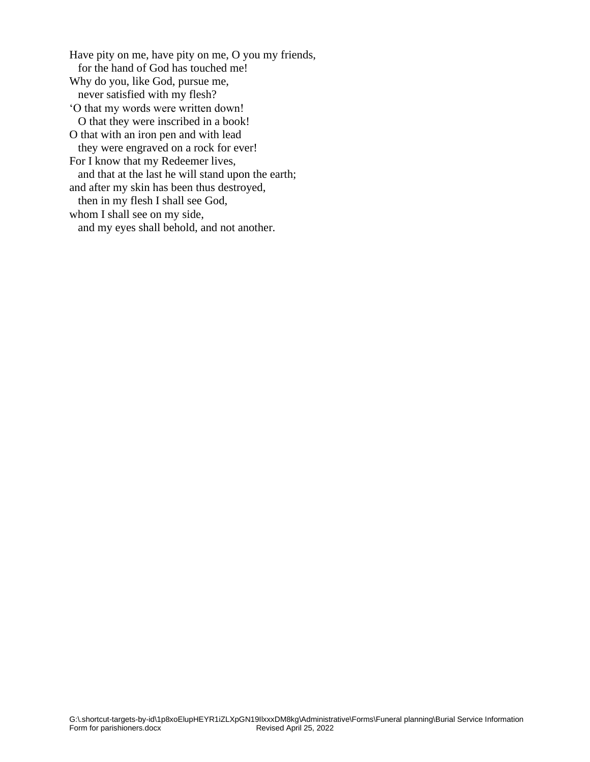Have pity on me, have pity on me, O you my friends, for the hand of God has touched me! Why do you, like God, pursue me, never satisfied with my flesh? 'O that my words were written down! O that they were inscribed in a book! O that with an iron pen and with lead they were engraved on a rock for ever! For I know that my Redeemer lives, and that at the last he will stand upon the earth; and after my skin has been thus destroyed, then in my flesh I shall see God, whom I shall see on my side, and my eyes shall behold, and not another.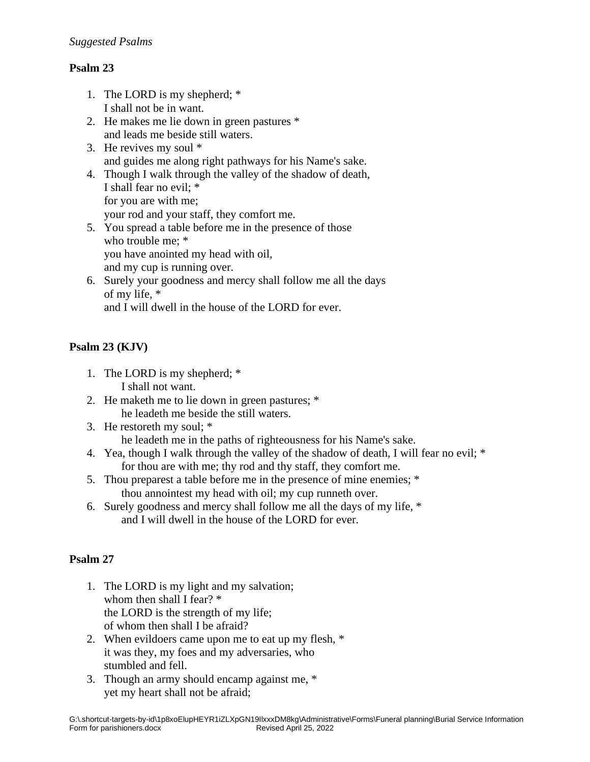### *Suggested Psalms*

### **Psalm 23**

- 1. The LORD is my shepherd; \* I shall not be in want.
- 2. He makes me lie down in green pastures \* and leads me beside still waters.
- 3. He revives my soul \* and guides me along right pathways for his Name's sake.
- 4. Though I walk through the valley of the shadow of death, I shall fear no evil; \* for you are with me; your rod and your staff, they comfort me.
- 5. You spread a table before me in the presence of those who trouble me; \* you have anointed my head with oil, and my cup is running over.
- 6. Surely your goodness and mercy shall follow me all the days of my life, \* and I will dwell in the house of the LORD for ever.

# **Psalm 23 (KJV)**

- 1. The LORD is my shepherd; \* I shall not want.
- 2. He maketh me to lie down in green pastures; \* he leadeth me beside the still waters.
- 3. He restoreth my soul; \*

he leadeth me in the paths of righteousness for his Name's sake.

- 4. Yea, though I walk through the valley of the shadow of death, I will fear no evil; \* for thou are with me; thy rod and thy staff, they comfort me.
- 5. Thou preparest a table before me in the presence of mine enemies; \* thou annointest my head with oil; my cup runneth over.
- 6. Surely goodness and mercy shall follow me all the days of my life, \* and I will dwell in the house of the LORD for ever.

# **Psalm 27**

- 1. The LORD is my light and my salvation; whom then shall I fear? \* the LORD is the strength of my life; of whom then shall I be afraid?
- 2. When evildoers came upon me to eat up my flesh, \* it was they, my foes and my adversaries, who stumbled and fell.
- 3. Though an army should encamp against me, \* yet my heart shall not be afraid;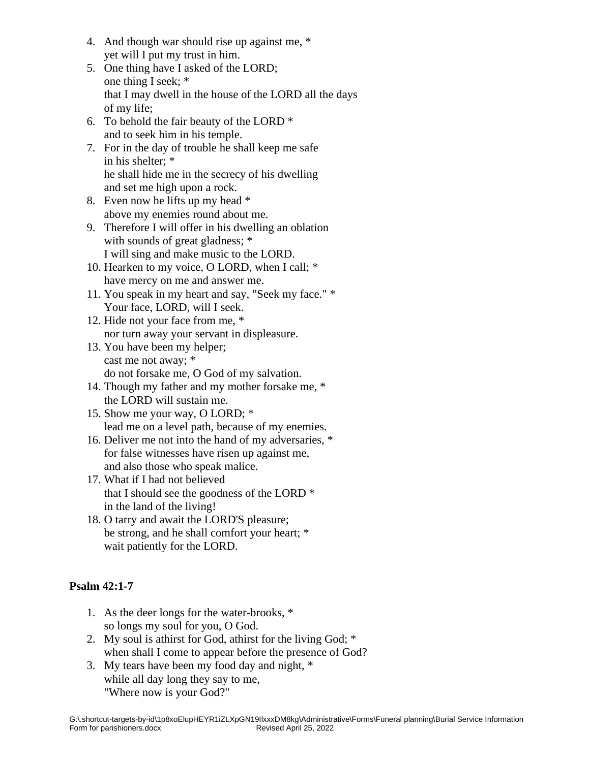- 4. And though war should rise up against me, \* yet will I put my trust in him.
- 5. One thing have I asked of the LORD; one thing I seek; \* that I may dwell in the house of the LORD all the days of my life;
- 6. To behold the fair beauty of the LORD \* and to seek him in his temple.
- 7. For in the day of trouble he shall keep me safe in his shelter; \* he shall hide me in the secrecy of his dwelling and set me high upon a rock.
- 8. Even now he lifts up my head \* above my enemies round about me.
- 9. Therefore I will offer in his dwelling an oblation with sounds of great gladness;  $*$ I will sing and make music to the LORD.
- 10. Hearken to my voice, O LORD, when I call; \* have mercy on me and answer me.
- 11. You speak in my heart and say, "Seek my face." \* Your face, LORD, will I seek.
- 12. Hide not your face from me, \* nor turn away your servant in displeasure.
- 13. You have been my helper; cast me not away; \* do not forsake me, O God of my salvation.
- 14. Though my father and my mother forsake me, \* the LORD will sustain me.
- 15. Show me your way, O LORD; \* lead me on a level path, because of my enemies.
- 16. Deliver me not into the hand of my adversaries, \* for false witnesses have risen up against me, and also those who speak malice.
- 17. What if I had not believed that I should see the goodness of the LORD \* in the land of the living!
- 18. O tarry and await the LORD'S pleasure; be strong, and he shall comfort your heart; \* wait patiently for the LORD.

# **Psalm 42:1-7**

- 1. As the deer longs for the water-brooks, \* so longs my soul for you, O God.
- 2. My soul is athirst for God, athirst for the living God; \* when shall I come to appear before the presence of God?
- 3. My tears have been my food day and night, \* while all day long they say to me, "Where now is your God?"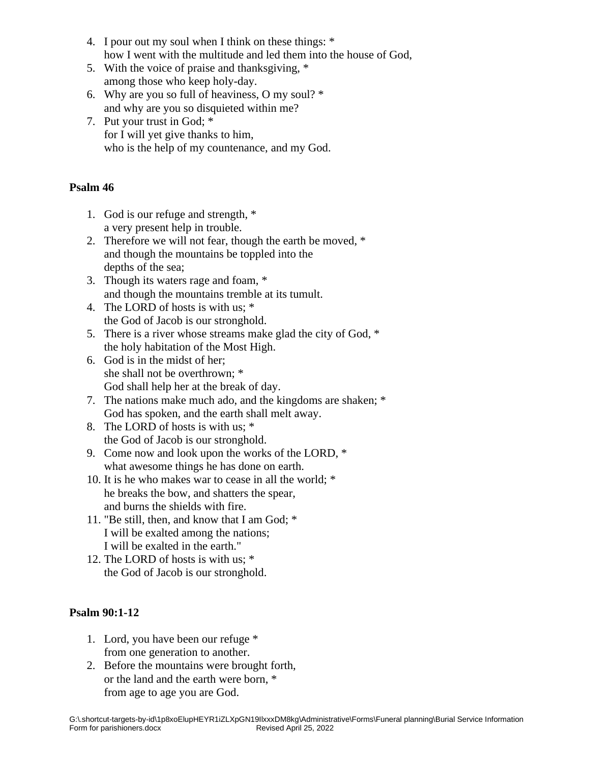- 4. I pour out my soul when I think on these things: \* how I went with the multitude and led them into the house of God,
- 5. With the voice of praise and thanksgiving, \* among those who keep holy-day.
- 6. Why are you so full of heaviness, O my soul? \* and why are you so disquieted within me?
- 7. Put your trust in God; \* for I will yet give thanks to him, who is the help of my countenance, and my God.

# **Psalm 46**

- 1. God is our refuge and strength, \* a very present help in trouble.
- 2. Therefore we will not fear, though the earth be moved, \* and though the mountains be toppled into the depths of the sea;
- 3. Though its waters rage and foam, \* and though the mountains tremble at its tumult.
- 4. The LORD of hosts is with us; \* the God of Jacob is our stronghold.
- 5. There is a river whose streams make glad the city of God, \* the holy habitation of the Most High.
- 6. God is in the midst of her; she shall not be overthrown; \* God shall help her at the break of day.
- 7. The nations make much ado, and the kingdoms are shaken; \* God has spoken, and the earth shall melt away.
- 8. The LORD of hosts is with us; \* the God of Jacob is our stronghold.
- 9. Come now and look upon the works of the LORD, \* what awesome things he has done on earth.
- 10. It is he who makes war to cease in all the world; \* he breaks the bow, and shatters the spear, and burns the shields with fire.
- 11. "Be still, then, and know that I am God; \* I will be exalted among the nations; I will be exalted in the earth."
- 12. The LORD of hosts is with us; \* the God of Jacob is our stronghold.

# **Psalm 90:1-12**

- 1. Lord, you have been our refuge \* from one generation to another.
- 2. Before the mountains were brought forth, or the land and the earth were born, \* from age to age you are God.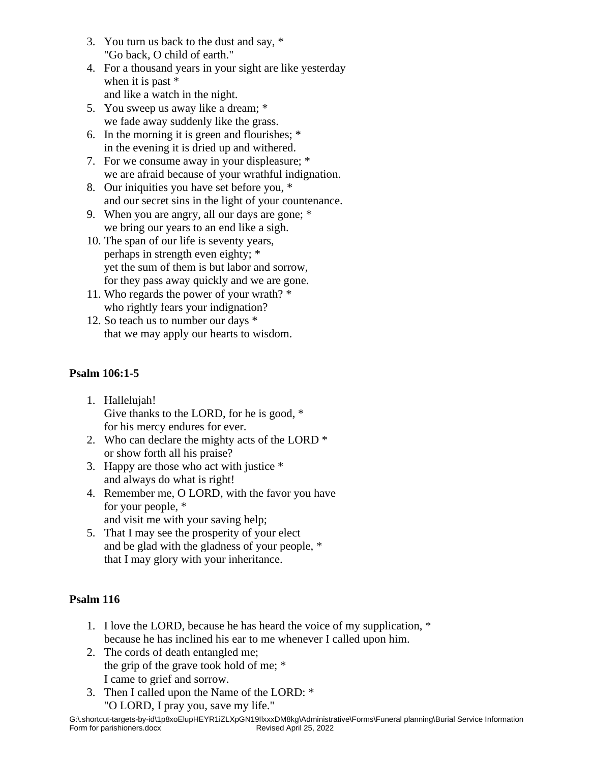- 3. You turn us back to the dust and say, \* "Go back, O child of earth."
- 4. For a thousand years in your sight are like yesterday when it is past \* and like a watch in the night.
- 5. You sweep us away like a dream; \* we fade away suddenly like the grass.
- 6. In the morning it is green and flourishes; \* in the evening it is dried up and withered.
- 7. For we consume away in your displeasure; \* we are afraid because of your wrathful indignation.
- 8. Our iniquities you have set before you, \* and our secret sins in the light of your countenance.
- 9. When you are angry, all our days are gone; \* we bring our years to an end like a sigh.
- 10. The span of our life is seventy years, perhaps in strength even eighty; \* yet the sum of them is but labor and sorrow, for they pass away quickly and we are gone.
- 11. Who regards the power of your wrath? \* who rightly fears your indignation?
- 12. So teach us to number our days \* that we may apply our hearts to wisdom.

# **Psalm 106:1-5**

- 1. Hallelujah! Give thanks to the LORD, for he is good,  $*$ for his mercy endures for ever.
- 2. Who can declare the mighty acts of the LORD \* or show forth all his praise?
- 3. Happy are those who act with justice \* and always do what is right!
- 4. Remember me, O LORD, with the favor you have for your people, \* and visit me with your saving help;
- 5. That I may see the prosperity of your elect and be glad with the gladness of your people, \* that I may glory with your inheritance.

# **Psalm 116**

- 1. I love the LORD, because he has heard the voice of my supplication, \* because he has inclined his ear to me whenever I called upon him.
- 2. The cords of death entangled me; the grip of the grave took hold of me; \* I came to grief and sorrow.
- 3. Then I called upon the Name of the LORD: \* "O LORD, I pray you, save my life."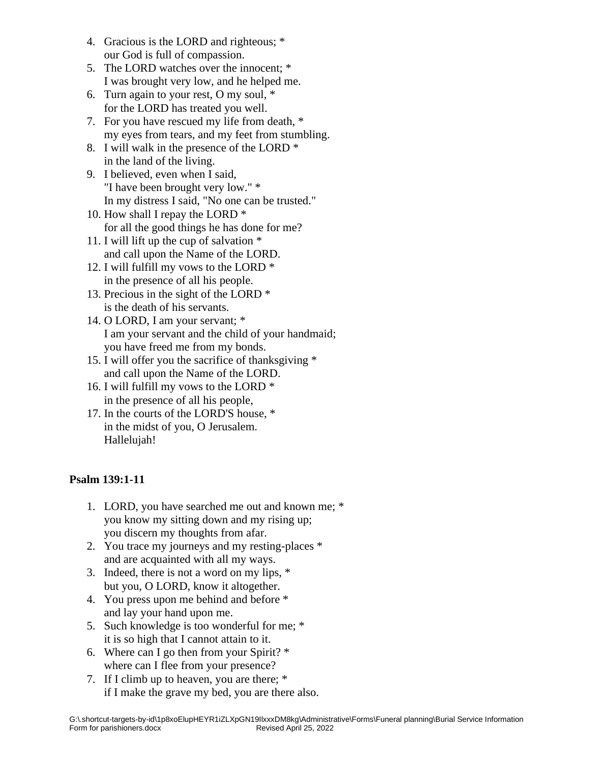- 4. Gracious is the LORD and righteous; \* our God is full of compassion.
- 5. The LORD watches over the innocent; \* I was brought very low, and he helped me.
- 6. Turn again to your rest, O my soul, \* for the LORD has treated you well.
- 7. For you have rescued my life from death, \* my eyes from tears, and my feet from stumbling.
- 8. I will walk in the presence of the LORD \* in the land of the living.
- 9. I believed, even when I said, "I have been brought very low." \* In my distress I said, "No one can be trusted."
- 10. How shall I repay the LORD \* for all the good things he has done for me?
- 11. I will lift up the cup of salvation \* and call upon the Name of the LORD.
- 12. I will fulfill my vows to the LORD \* in the presence of all his people.
- 13. Precious in the sight of the LORD \* is the death of his servants.
- 14. O LORD, I am your servant; \* I am your servant and the child of your handmaid; you have freed me from my bonds.
- 15. I will offer you the sacrifice of thanksgiving \* and call upon the Name of the LORD.
- 16. I will fulfill my vows to the LORD \* in the presence of all his people,
- 17. In the courts of the LORD'S house, \* in the midst of you, O Jerusalem. Hallelujah!

# **Psalm 139:1-11**

- 1. LORD, you have searched me out and known me; \* you know my sitting down and my rising up; you discern my thoughts from afar.
- 2. You trace my journeys and my resting-places \* and are acquainted with all my ways.
- 3. Indeed, there is not a word on my lips, \* but you, O LORD, know it altogether.
- 4. You press upon me behind and before \* and lay your hand upon me.
- 5. Such knowledge is too wonderful for me; \* it is so high that I cannot attain to it.
- 6. Where can I go then from your Spirit? \* where can I flee from your presence?
- 7. If I climb up to heaven, you are there; \* if I make the grave my bed, you are there also.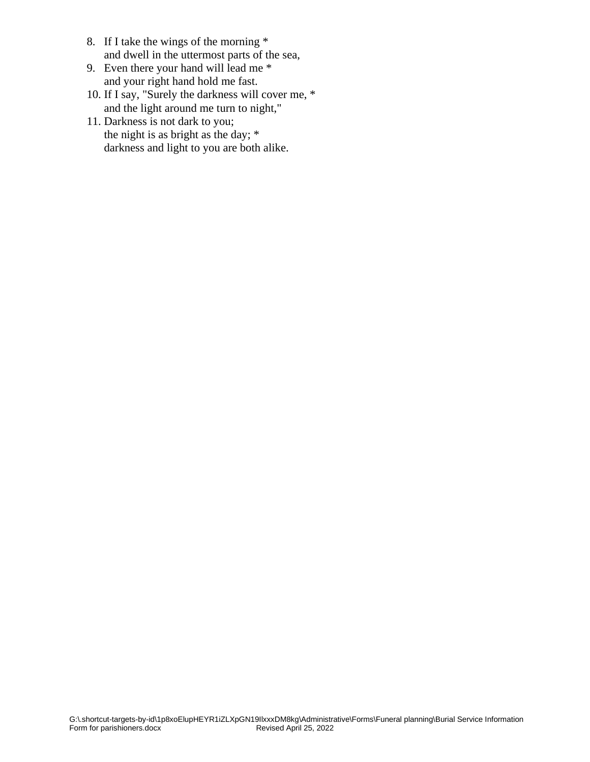- 8. If I take the wings of the morning \* and dwell in the uttermost parts of the sea,
- 9. Even there your hand will lead me \* and your right hand hold me fast.
- 10. If I say, "Surely the darkness will cover me, \* and the light around me turn to night,"
- 11. Darkness is not dark to you; the night is as bright as the day; \* darkness and light to you are both alike.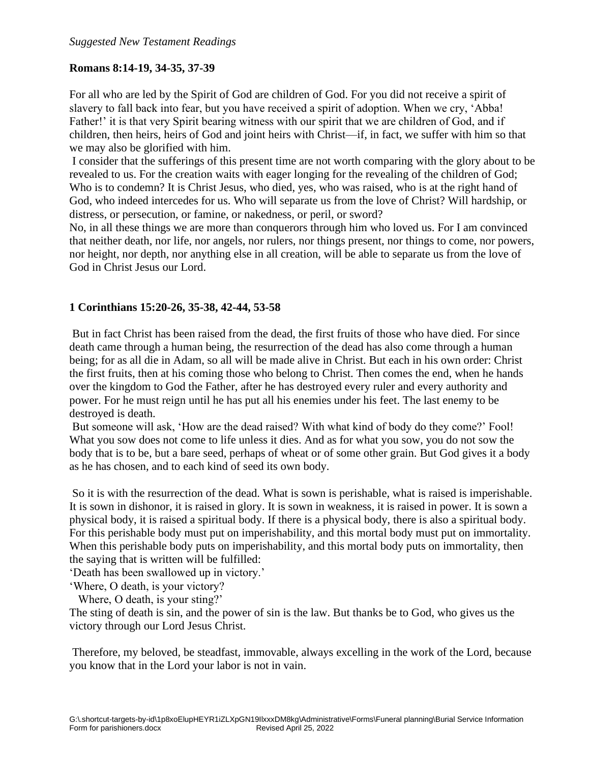### *Suggested New Testament Readings*

#### **Romans 8:14-19, 34-35, 37-39**

For all who are led by the Spirit of God are children of God. For you did not receive a spirit of slavery to fall back into fear, but you have received a spirit of adoption. When we cry, 'Abba! Father!' it is that very Spirit bearing witness with our spirit that we are children of God, and if children, then heirs, heirs of God and joint heirs with Christ—if, in fact, we suffer with him so that we may also be glorified with him.

I consider that the sufferings of this present time are not worth comparing with the glory about to be revealed to us. For the creation waits with eager longing for the revealing of the children of God; Who is to condemn? It is Christ Jesus, who died, yes, who was raised, who is at the right hand of God, who indeed intercedes for us. Who will separate us from the love of Christ? Will hardship, or distress, or persecution, or famine, or nakedness, or peril, or sword?

No, in all these things we are more than conquerors through him who loved us. For I am convinced that neither death, nor life, nor angels, nor rulers, nor things present, nor things to come, nor powers, nor height, nor depth, nor anything else in all creation, will be able to separate us from the love of God in Christ Jesus our Lord.

### **1 Corinthians 15:20-26, 35-38, 42-44, 53-58**

But in fact Christ has been raised from the dead, the first fruits of those who have died. For since death came through a human being, the resurrection of the dead has also come through a human being; for as all die in Adam, so all will be made alive in Christ. But each in his own order: Christ the first fruits, then at his coming those who belong to Christ. Then comes the end, when he hands over the kingdom to God the Father, after he has destroyed every ruler and every authority and power. For he must reign until he has put all his enemies under his feet. The last enemy to be destroyed is death.

But someone will ask, 'How are the dead raised? With what kind of body do they come?' Fool! What you sow does not come to life unless it dies. And as for what you sow, you do not sow the body that is to be, but a bare seed, perhaps of wheat or of some other grain. But God gives it a body as he has chosen, and to each kind of seed its own body.

So it is with the resurrection of the dead. What is sown is perishable, what is raised is imperishable. It is sown in dishonor, it is raised in glory. It is sown in weakness, it is raised in power. It is sown a physical body, it is raised a spiritual body. If there is a physical body, there is also a spiritual body. For this perishable body must put on imperishability, and this mortal body must put on immortality. When this perishable body puts on imperishability, and this mortal body puts on immortality, then the saying that is written will be fulfilled:

'Death has been swallowed up in victory.'

'Where, O death, is your victory?

Where, O death, is your sting?'

The sting of death is sin, and the power of sin is the law. But thanks be to God, who gives us the victory through our Lord Jesus Christ.

Therefore, my beloved, be steadfast, immovable, always excelling in the work of the Lord, because you know that in the Lord your labor is not in vain.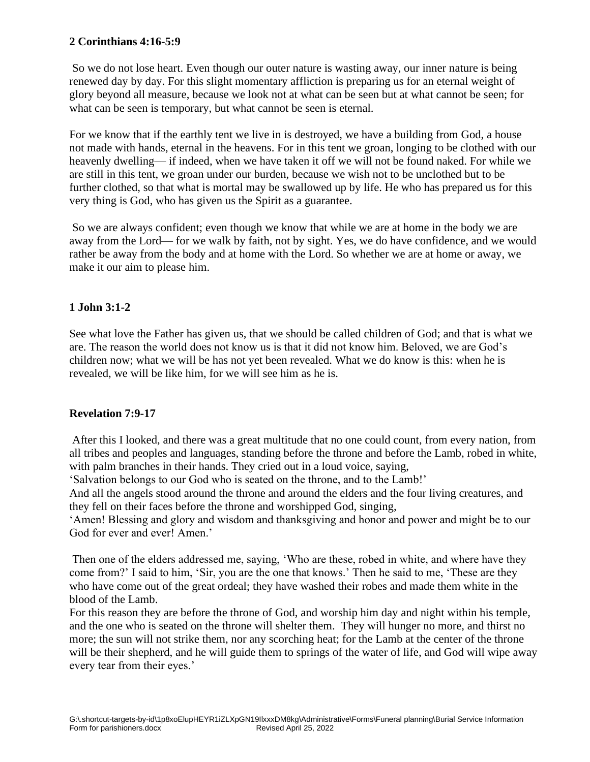# **2 Corinthians 4:16-5:9**

So we do not lose heart. Even though our outer nature is wasting away, our inner nature is being renewed day by day. For this slight momentary affliction is preparing us for an eternal weight of glory beyond all measure, because we look not at what can be seen but at what cannot be seen; for what can be seen is temporary, but what cannot be seen is eternal.

For we know that if the earthly tent we live in is destroyed, we have a building from God, a house not made with hands, eternal in the heavens. For in this tent we groan, longing to be clothed with our heavenly dwelling— if indeed, when we have taken it off we will not be found naked. For while we are still in this tent, we groan under our burden, because we wish not to be unclothed but to be further clothed, so that what is mortal may be swallowed up by life. He who has prepared us for this very thing is God, who has given us the Spirit as a guarantee.

So we are always confident; even though we know that while we are at home in the body we are away from the Lord— for we walk by faith, not by sight. Yes, we do have confidence, and we would rather be away from the body and at home with the Lord. So whether we are at home or away, we make it our aim to please him.

# **1 John 3:1-2**

See what love the Father has given us, that we should be called children of God; and that is what we are. The reason the world does not know us is that it did not know him. Beloved, we are God's children now; what we will be has not yet been revealed. What we do know is this: when he is revealed, we will be like him, for we will see him as he is.

# **Revelation 7:9-17**

After this I looked, and there was a great multitude that no one could count, from every nation, from all tribes and peoples and languages, standing before the throne and before the Lamb, robed in white, with palm branches in their hands. They cried out in a loud voice, saying,

'Salvation belongs to our God who is seated on the throne, and to the Lamb!'

And all the angels stood around the throne and around the elders and the four living creatures, and they fell on their faces before the throne and worshipped God, singing,

'Amen! Blessing and glory and wisdom and thanksgiving and honor and power and might be to our God for ever and ever! Amen.'

Then one of the elders addressed me, saying, 'Who are these, robed in white, and where have they come from?' I said to him, 'Sir, you are the one that knows.' Then he said to me, 'These are they who have come out of the great ordeal; they have washed their robes and made them white in the blood of the Lamb.

For this reason they are before the throne of God, and worship him day and night within his temple, and the one who is seated on the throne will shelter them. They will hunger no more, and thirst no more; the sun will not strike them, nor any scorching heat; for the Lamb at the center of the throne will be their shepherd, and he will guide them to springs of the water of life, and God will wipe away every tear from their eyes.'